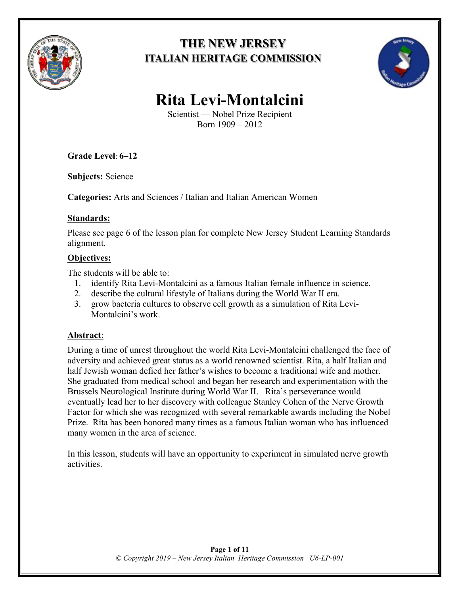

## **THE NEW JERSEY ITALIAN HERITAGE COMMISSION**



# **Rita Levi-Montalcini**

Scientist — Nobel Prize Recipient Born 1909 – 2012

**Grade Level**: **6–12**

**Subjects:** Science

**Categories:** Arts and Sciences / Italian and Italian American Women

#### **Standards:**

Please see page 6 of the lesson plan for complete New Jersey Student Learning Standards alignment.

## **Objectives:**

The students will be able to:

- 1. identify Rita Levi-Montalcini as a famous Italian female influence in science.
- 2. describe the cultural lifestyle of Italians during the World War II era.
- 3. grow bacteria cultures to observe cell growth as a simulation of Rita Levi-Montalcini's work.

#### **Abstract**:

During a time of unrest throughout the world Rita Levi-Montalcini challenged the face of adversity and achieved great status as a world renowned scientist. Rita, a half Italian and half Jewish woman defied her father's wishes to become a traditional wife and mother. She graduated from medical school and began her research and experimentation with the Brussels Neurological Institute during World War II. Rita's perseverance would eventually lead her to her discovery with colleague Stanley Cohen of the Nerve Growth Factor for which she was recognized with several remarkable awards including the Nobel Prize. Rita has been honored many times as a famous Italian woman who has influenced many women in the area of science.

In this lesson, students will have an opportunity to experiment in simulated nerve growth activities.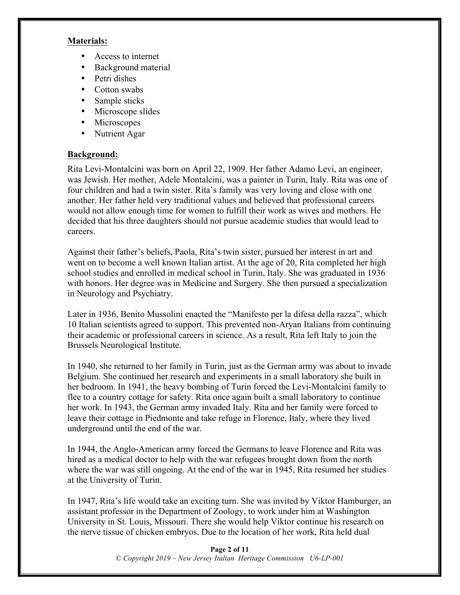#### **Materials:**

- Access to internet
- Background material
- Petri dishes
- Cotton swabs
- Sample sticks
- Microscope slides
- Microscopes
- Nutrient Agar

#### **Background:**

Rita Levi-Montalcini was born on April 22, 1909. Her father Adamo Levi, an engineer, was Jewish. Her mother, Adele Montalcini, was a painter in Turin, Italy. Rita was one of four children and had a twin sister. Rita's family was very loving and close with one another. Her father held very traditional values and believed that professional careers would not allow enough time for women to fulfill their work as wives and mothers. He decided that his three daughters should not pursue academic studies that would lead to careers.

Against their father's beliefs, Paola, Rita's twin sister, pursued her interest in art and went on to become a well known Italian artist. At the age of 20, Rita completed her high school studies and enrolled in medical school in Turin, Italy. She was graduated in 1936 with honors. Her degree was in Medicine and Surgery. She then pursued a specialization in Neurology and Psychiatry.

Later in 1936, Benito Mussolini enacted the "Manifesto per la difesa della razza", which 10 Italian scientists agreed to support. This prevented non-Aryan Italians from continuing their academic or professional careers in science. As a result, Rita left Italy to join the Brussels Neurological Institute.

In 1940, she returned to her family in Turin, just as the German army was about to invade Belgium. She continued her research and experiments in a small laboratory she built in her bedroom. In 1941, the heavy bombing of Turin forced the Levi-Montalcini family to flee to a country cottage for safety. Rita once again built a small laboratory to continue her work. In 1943, the German army invaded Italy. Rita and her family were forced to leave their cottage in Piedmonte and take refuge in Florence, Italy, where they lived underground until the end of the war.

In 1944, the Anglo-American army forced the Germans to leave Florence and Rita was hired as a medical doctor to help with the war refugees brought down from the north where the war was still ongoing. At the end of the war in 1945, Rita resumed her studies at the University of Turin.

In 1947, Rita's life would take an exciting turn. She was invited by Viktor Hamburger, an assistant professor in the Department of Zoology, to work under him at Washington University in St. Louis, Missouri. There she would help Viktor continue his research on the nerve tissue of chicken embryos. Due to the location of her work, Rita held dual

> **Page 2 of 11** *© Copyright 2019 – New Jersey Italian Heritage Commission U6-LP-001*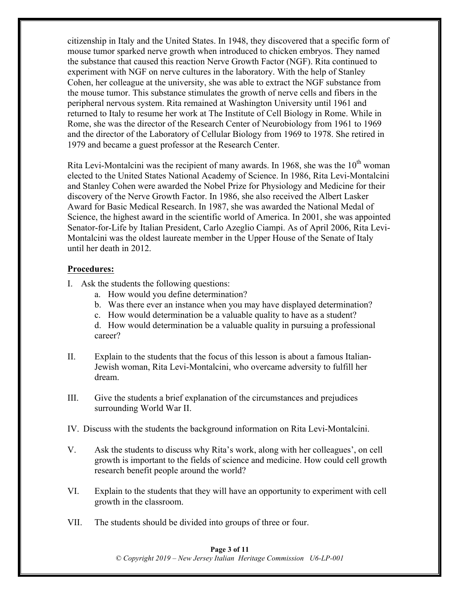citizenship in Italy and the United States. In 1948, they discovered that a specific form of mouse tumor sparked nerve growth when introduced to chicken embryos. They named the substance that caused this reaction Nerve Growth Factor (NGF). Rita continued to experiment with NGF on nerve cultures in the laboratory. With the help of Stanley Cohen, her colleague at the university, she was able to extract the NGF substance from the mouse tumor. This substance stimulates the growth of nerve cells and fibers in the peripheral nervous system. Rita remained at Washington University until 1961 and returned to Italy to resume her work at The Institute of Cell Biology in Rome. While in Rome, she was the director of the Research Center of Neurobiology from 1961 to 1969 and the director of the Laboratory of Cellular Biology from 1969 to 1978. She retired in 1979 and became a guest professor at the Research Center.

Rita Levi-Montalcini was the recipient of many awards. In 1968, she was the  $10<sup>th</sup>$  woman elected to the United States National Academy of Science. In 1986, Rita Levi-Montalcini and Stanley Cohen were awarded the Nobel Prize for Physiology and Medicine for their discovery of the Nerve Growth Factor. In 1986, she also received the Albert Lasker Award for Basic Medical Research. In 1987, she was awarded the National Medal of Science, the highest award in the scientific world of America. In 2001, she was appointed Senator-for-Life by Italian President, Carlo Azeglio Ciampi. As of April 2006, Rita Levi-Montalcini was the oldest laureate member in the Upper House of the Senate of Italy until her death in 2012.

#### **Procedures:**

- I. Ask the students the following questions:
	- a. How would you define determination?
	- b. Was there ever an instance when you may have displayed determination?
	- c. How would determination be a valuable quality to have as a student?

d. How would determination be a valuable quality in pursuing a professional career?

- II. Explain to the students that the focus of this lesson is about a famous Italian-Jewish woman, Rita Levi-Montalcini, who overcame adversity to fulfill her dream.
- III. Give the students a brief explanation of the circumstances and prejudices surrounding World War II.
- IV. Discuss with the students the background information on Rita Levi-Montalcini.
- V. Ask the students to discuss why Rita's work, along with her colleagues', on cell growth is important to the fields of science and medicine. How could cell growth research benefit people around the world?
- VI. Explain to the students that they will have an opportunity to experiment with cell growth in the classroom.
- VII. The students should be divided into groups of three or four.

#### **Page 3 of 11** *© Copyright 2019 – New Jersey Italian Heritage Commission U6-LP-001*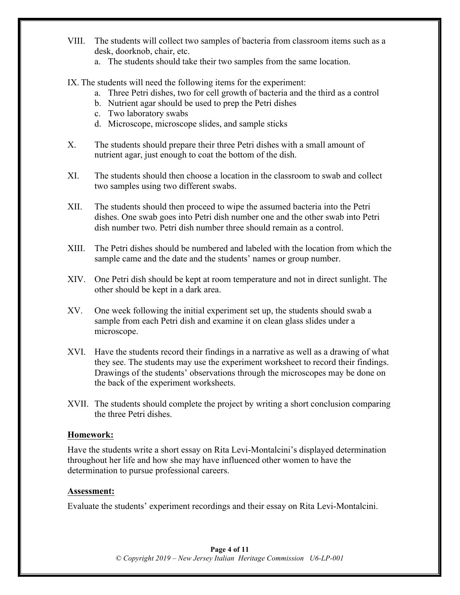- VIII. The students will collect two samples of bacteria from classroom items such as a desk, doorknob, chair, etc.
	- a. The students should take their two samples from the same location.
- IX. The students will need the following items for the experiment:
	- a. Three Petri dishes, two for cell growth of bacteria and the third as a control
	- b. Nutrient agar should be used to prep the Petri dishes
	- c. Two laboratory swabs
	- d. Microscope, microscope slides, and sample sticks
- X. The students should prepare their three Petri dishes with a small amount of nutrient agar, just enough to coat the bottom of the dish.
- XI. The students should then choose a location in the classroom to swab and collect two samples using two different swabs.
- XII. The students should then proceed to wipe the assumed bacteria into the Petri dishes. One swab goes into Petri dish number one and the other swab into Petri dish number two. Petri dish number three should remain as a control.
- XIII. The Petri dishes should be numbered and labeled with the location from which the sample came and the date and the students' names or group number.
- XIV. One Petri dish should be kept at room temperature and not in direct sunlight. The other should be kept in a dark area.
- XV. One week following the initial experiment set up, the students should swab a sample from each Petri dish and examine it on clean glass slides under a microscope.
- XVI. Have the students record their findings in a narrative as well as a drawing of what they see. The students may use the experiment worksheet to record their findings. Drawings of the students' observations through the microscopes may be done on the back of the experiment worksheets.
- XVII. The students should complete the project by writing a short conclusion comparing the three Petri dishes.

#### **Homework:**

Have the students write a short essay on Rita Levi-Montalcini's displayed determination throughout her life and how she may have influenced other women to have the determination to pursue professional careers.

#### **Assessment:**

Evaluate the students' experiment recordings and their essay on Rita Levi-Montalcini.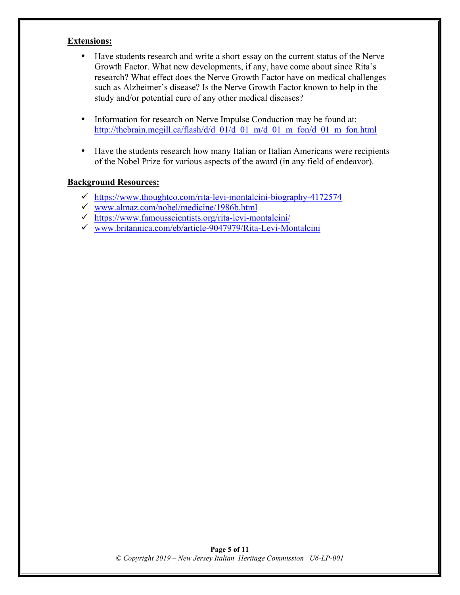#### **Extensions:**

- Have students research and write a short essay on the current status of the Nerve Growth Factor. What new developments, if any, have come about since Rita's research? What effect does the Nerve Growth Factor have on medical challenges such as Alzheimer's disease? Is the Nerve Growth Factor known to help in the study and/or potential cure of any other medical diseases?
- Information for research on Nerve Impulse Conduction may be found at: http://thebrain.mcgill.ca/flash/d/d\_01/d\_01\_m/d\_01\_m\_fon/d\_01\_m\_fon.html
- Have the students research how many Italian or Italian Americans were recipients of the Nobel Prize for various aspects of the award (in any field of endeavor).

#### **Background Resources:**

- $\checkmark$  https://www.thoughtco.com/rita-levi-montalcini-biography-4172574
- $\checkmark$  www.almaz.com/nobel/medicine/1986b.html
- $\checkmark$  https://www.famousscientists.org/rita-levi-montalcini/
- $\checkmark$  www.britannica.com/eb/article-9047979/Rita-Levi-Montalcini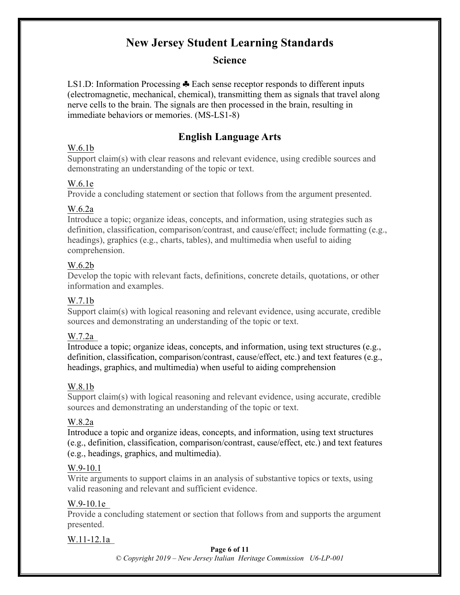## **New Jersey Student Learning Standards**

## **Science**

LS1.D: Information Processing  $\clubsuit$  Each sense receptor responds to different inputs (electromagnetic, mechanical, chemical), transmitting them as signals that travel along nerve cells to the brain. The signals are then processed in the brain, resulting in immediate behaviors or memories. (MS-LS1-8)

## **English Language Arts**

#### W.6.1b

Support claim(s) with clear reasons and relevant evidence, using credible sources and demonstrating an understanding of the topic or text.

#### W.6.1e

Provide a concluding statement or section that follows from the argument presented.

#### W.6.2a

Introduce a topic; organize ideas, concepts, and information, using strategies such as definition, classification, comparison/contrast, and cause/effect; include formatting (e.g., headings), graphics (e.g., charts, tables), and multimedia when useful to aiding comprehension.

#### W.6.2b

Develop the topic with relevant facts, definitions, concrete details, quotations, or other information and examples.

#### W.7.1b

Support claim(s) with logical reasoning and relevant evidence, using accurate, credible sources and demonstrating an understanding of the topic or text.

#### W.7.2a

Introduce a topic; organize ideas, concepts, and information, using text structures (e.g., definition, classification, comparison/contrast, cause/effect, etc.) and text features (e.g., headings, graphics, and multimedia) when useful to aiding comprehension

#### W.8.1b

Support claim(s) with logical reasoning and relevant evidence, using accurate, credible sources and demonstrating an understanding of the topic or text.

#### W.8.2a

Introduce a topic and organize ideas, concepts, and information, using text structures (e.g., definition, classification, comparison/contrast, cause/effect, etc.) and text features (e.g., headings, graphics, and multimedia).

#### W.9-10.1

Write arguments to support claims in an analysis of substantive topics or texts, using valid reasoning and relevant and sufficient evidence.

#### W.9-10.1e

Provide a concluding statement or section that follows from and supports the argument presented.

#### W.11-12.1a

**Page 6 of 11**

*© Copyright 2019 – New Jersey Italian Heritage Commission U6-LP-001*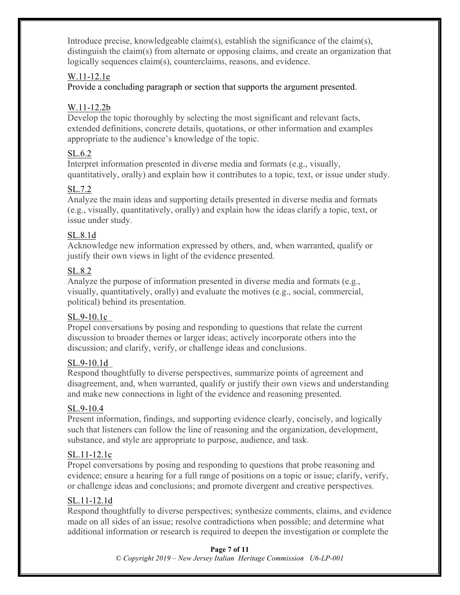Introduce precise, knowledgeable claim(s), establish the significance of the claim(s), distinguish the claim(s) from alternate or opposing claims, and create an organization that logically sequences claim(s), counterclaims, reasons, and evidence.

### W.11-12.1e

Provide a concluding paragraph or section that supports the argument presented.

## W.11-12.2b

Develop the topic thoroughly by selecting the most significant and relevant facts, extended definitions, concrete details, quotations, or other information and examples appropriate to the audience's knowledge of the topic.

## SL.6.2

Interpret information presented in diverse media and formats (e.g., visually, quantitatively, orally) and explain how it contributes to a topic, text, or issue under study.

## SL.7.2

Analyze the main ideas and supporting details presented in diverse media and formats (e.g., visually, quantitatively, orally) and explain how the ideas clarify a topic, text, or issue under study.

## SL.8.1d

Acknowledge new information expressed by others, and, when warranted, qualify or justify their own views in light of the evidence presented.

## SL.8.2

Analyze the purpose of information presented in diverse media and formats (e.g., visually, quantitatively, orally) and evaluate the motives (e.g., social, commercial, political) behind its presentation.

## SL.9-10.1c

Propel conversations by posing and responding to questions that relate the current discussion to broader themes or larger ideas; actively incorporate others into the discussion; and clarify, verify, or challenge ideas and conclusions.

## SL.9-10.1d

Respond thoughtfully to diverse perspectives, summarize points of agreement and disagreement, and, when warranted, qualify or justify their own views and understanding and make new connections in light of the evidence and reasoning presented.

## SL.9-10.4

Present information, findings, and supporting evidence clearly, concisely, and logically such that listeners can follow the line of reasoning and the organization, development, substance, and style are appropriate to purpose, audience, and task.

## SL.11-12.1c

Propel conversations by posing and responding to questions that probe reasoning and evidence; ensure a hearing for a full range of positions on a topic or issue; clarify, verify, or challenge ideas and conclusions; and promote divergent and creative perspectives.

## SL.11-12.1d

Respond thoughtfully to diverse perspectives; synthesize comments, claims, and evidence made on all sides of an issue; resolve contradictions when possible; and determine what additional information or research is required to deepen the investigation or complete the

#### **Page 7 of 11** *© Copyright 2019 – New Jersey Italian Heritage Commission U6-LP-001*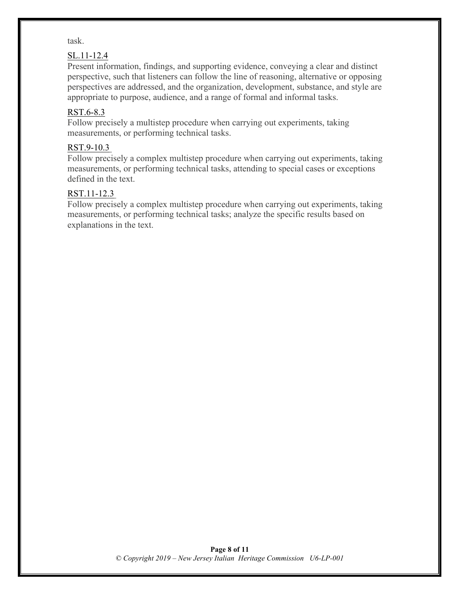#### task.

#### SL.11-12.4

Present information, findings, and supporting evidence, conveying a clear and distinct perspective, such that listeners can follow the line of reasoning, alternative or opposing perspectives are addressed, and the organization, development, substance, and style are appropriate to purpose, audience, and a range of formal and informal tasks.

#### RST.6-8.3

Follow precisely a multistep procedure when carrying out experiments, taking measurements, or performing technical tasks.

#### RST.9-10.3

Follow precisely a complex multistep procedure when carrying out experiments, taking measurements, or performing technical tasks, attending to special cases or exceptions defined in the text.

#### RST.11-12.3

Follow precisely a complex multistep procedure when carrying out experiments, taking measurements, or performing technical tasks; analyze the specific results based on explanations in the text.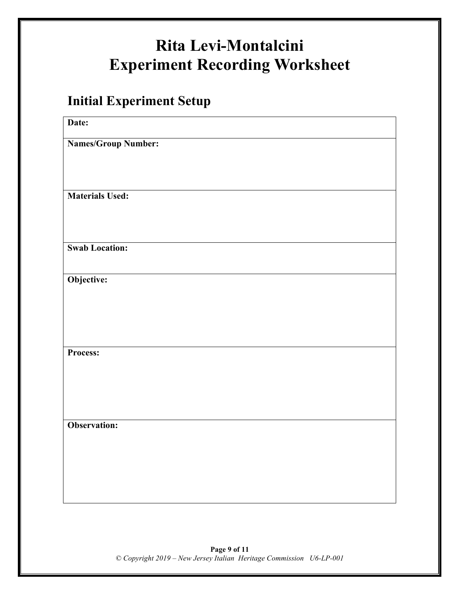# **Rita Levi-Montalcini Experiment Recording Worksheet**

## **Initial Experiment Setup**

| Date:                  |  |
|------------------------|--|
| Names/Group Number:    |  |
|                        |  |
|                        |  |
| <b>Materials Used:</b> |  |
|                        |  |
|                        |  |
| <b>Swab Location:</b>  |  |
| Objective:             |  |
|                        |  |
|                        |  |
|                        |  |
| Process:               |  |
|                        |  |
|                        |  |
|                        |  |
| Observation:           |  |
|                        |  |
|                        |  |
|                        |  |
|                        |  |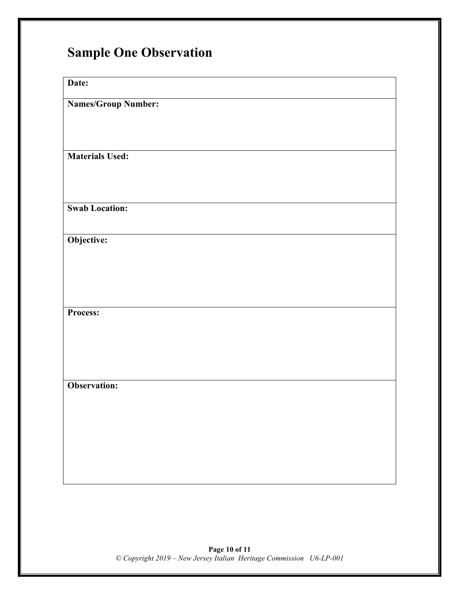## **Sample One Observation**

**Date:**

**Names/Group Number:**

**Materials Used:**

**Swab Location:**

**Objective:**

**Process:**

**Observation:**